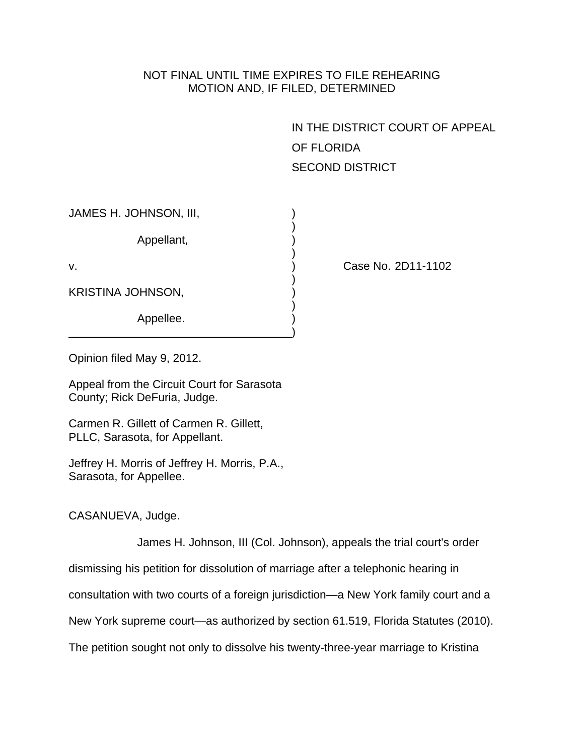# NOT FINAL UNTIL TIME EXPIRES TO FILE REHEARING MOTION AND, IF FILED, DETERMINED

IN THE DISTRICT COURT OF APPEAL OF FLORIDA SECOND DISTRICT

| JAMES H. JOHNSON, III, |  |
|------------------------|--|
| Appellant,             |  |
| v.                     |  |
| KRISTINA JOHNSON,      |  |
| Appellee.              |  |

Case No. 2D11-1102

Opinion filed May 9, 2012.

Appeal from the Circuit Court for Sarasota County; Rick DeFuria, Judge.

Carmen R. Gillett of Carmen R. Gillett, PLLC, Sarasota, for Appellant.

Jeffrey H. Morris of Jeffrey H. Morris, P.A., Sarasota, for Appellee.

CASANUEVA, Judge.

James H. Johnson, III (Col. Johnson), appeals the trial court's order

dismissing his petition for dissolution of marriage after a telephonic hearing in

consultation with two courts of a foreign jurisdiction—a New York family court and a

New York supreme court—as authorized by section 61.519, Florida Statutes (2010).

The petition sought not only to dissolve his twenty-three-year marriage to Kristina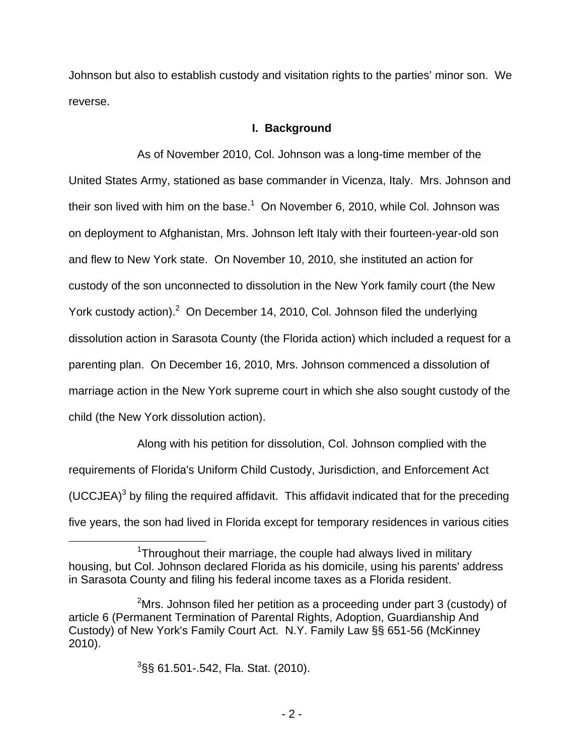Johnson but also to establish custody and visitation rights to the parties' minor son. We reverse.

## **I. Background**

 As of November 2010, Col. Johnson was a long-time member of the United States Army, stationed as base commander in Vicenza, Italy. Mrs. Johnson and their son lived with him on the base.<sup>1</sup> On November 6, 2010, while Col. Johnson was on deployment to Afghanistan, Mrs. Johnson left Italy with their fourteen-year-old son and flew to New York state. On November 10, 2010, she instituted an action for custody of the son unconnected to dissolution in the New York family court (the New York custody action). $2$  On December 14, 2010, Col. Johnson filed the underlying dissolution action in Sarasota County (the Florida action) which included a request for a parenting plan. On December 16, 2010, Mrs. Johnson commenced a dissolution of marriage action in the New York supreme court in which she also sought custody of the child (the New York dissolution action).

 Along with his petition for dissolution, Col. Johnson complied with the requirements of Florida's Uniform Child Custody, Jurisdiction, and Enforcement Act (UCCJEA) $3$  by filing the required affidavit. This affidavit indicated that for the preceding five years, the son had lived in Florida except for temporary residences in various cities

 <sup>3</sup> §§ 61.501-.542, Fla. Stat. (2010).

 $\overline{1}$ <sup>1</sup>Throughout their marriage, the couple had always lived in military housing, but Col. Johnson declared Florida as his domicile, using his parents' address in Sarasota County and filing his federal income taxes as a Florida resident.

<sup>2</sup> <sup>2</sup>Mrs. Johnson filed her petition as a proceeding under part 3 (custody) of article 6 (Permanent Termination of Parental Rights, Adoption, Guardianship And Custody) of New York's Family Court Act. N.Y. Family Law §§ 651-56 (McKinney 2010).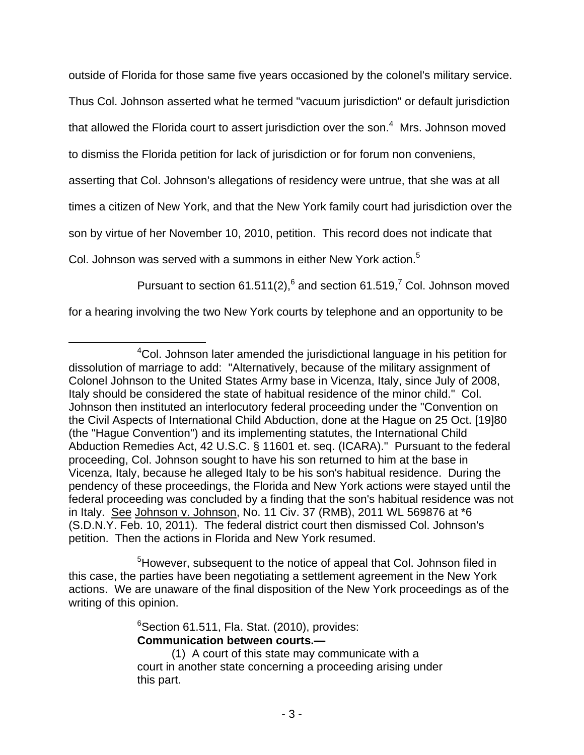outside of Florida for those same five years occasioned by the colonel's military service. Thus Col. Johnson asserted what he termed "vacuum jurisdiction" or default jurisdiction that allowed the Florida court to assert jurisdiction over the son. $4$  Mrs. Johnson moved to dismiss the Florida petition for lack of jurisdiction or for forum non conveniens, asserting that Col. Johnson's allegations of residency were untrue, that she was at all times a citizen of New York, and that the New York family court had jurisdiction over the son by virtue of her November 10, 2010, petition. This record does not indicate that Col. Johnson was served with a summons in either New York action.<sup>5</sup>

Pursuant to section 61.511(2), $^6$  and section 61.519, $^7$  Col. Johnson moved

for a hearing involving the two New York courts by telephone and an opportunity to be

 $\overline{a}$ 

 $\sim$  5 <sup>5</sup> However, subsequent to the notice of appeal that Col. Johnson filed in this case, the parties have been negotiating a settlement agreement in the New York actions. We are unaware of the final disposition of the New York proceedings as of the writing of this opinion.

 <sup>6</sup>  $6$ Section 61.511, Fla. Stat. (2010), provides: **Communication between courts.—** 

<sup>4</sup> <sup>4</sup>Col. Johnson later amended the jurisdictional language in his petition for dissolution of marriage to add: "Alternatively, because of the military assignment of Colonel Johnson to the United States Army base in Vicenza, Italy, since July of 2008, Italy should be considered the state of habitual residence of the minor child." Col. Johnson then instituted an interlocutory federal proceeding under the "Convention on the Civil Aspects of International Child Abduction, done at the Hague on 25 Oct. [19]80 (the "Hague Convention") and its implementing statutes, the International Child Abduction Remedies Act, 42 U.S.C. § 11601 et. seq. (ICARA)." Pursuant to the federal proceeding, Col. Johnson sought to have his son returned to him at the base in Vicenza, Italy, because he alleged Italy to be his son's habitual residence. During the pendency of these proceedings, the Florida and New York actions were stayed until the federal proceeding was concluded by a finding that the son's habitual residence was not in Italy. See Johnson v. Johnson, No. 11 Civ. 37 (RMB), 2011 WL 569876 at \*6 (S.D.N.Y. Feb. 10, 2011). The federal district court then dismissed Col. Johnson's petition. Then the actions in Florida and New York resumed.

<sup>(1)</sup> A court of this state may communicate with a court in another state concerning a proceeding arising under this part.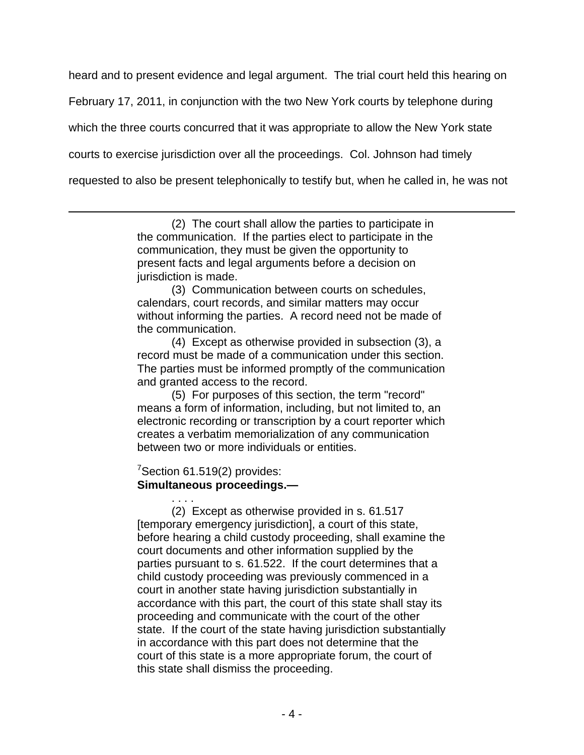heard and to present evidence and legal argument. The trial court held this hearing on

February 17, 2011, in conjunction with the two New York courts by telephone during

which the three courts concurred that it was appropriate to allow the New York state

courts to exercise jurisdiction over all the proceedings. Col. Johnson had timely

requested to also be present telephonically to testify but, when he called in, he was not

(2) The court shall allow the parties to participate in the communication. If the parties elect to participate in the communication, they must be given the opportunity to present facts and legal arguments before a decision on jurisdiction is made.

(3) Communication between courts on schedules, calendars, court records, and similar matters may occur without informing the parties. A record need not be made of the communication.

(4) Except as otherwise provided in subsection (3), a record must be made of a communication under this section. The parties must be informed promptly of the communication and granted access to the record.

(5) For purposes of this section, the term "record" means a form of information, including, but not limited to, an electronic recording or transcription by a court reporter which creates a verbatim memorialization of any communication between two or more individuals or entities.

<u>7 де</u>позната во селото на селото на селото на селото на селото на селото на селото на селото на селото на сел<br>27 денови во селото на селото на селото на селото на селото на селото на селото на селото на селото на селото  $7$ Section 61.519(2) provides: **Simultaneous proceedings.—**  . . . .

 $\overline{a}$ 

 (2) Except as otherwise provided in s. 61.517 [temporary emergency jurisdiction], a court of this state, before hearing a child custody proceeding, shall examine the court documents and other information supplied by the parties pursuant to s. 61.522. If the court determines that a child custody proceeding was previously commenced in a court in another state having jurisdiction substantially in accordance with this part, the court of this state shall stay its proceeding and communicate with the court of the other state. If the court of the state having jurisdiction substantially in accordance with this part does not determine that the court of this state is a more appropriate forum, the court of this state shall dismiss the proceeding.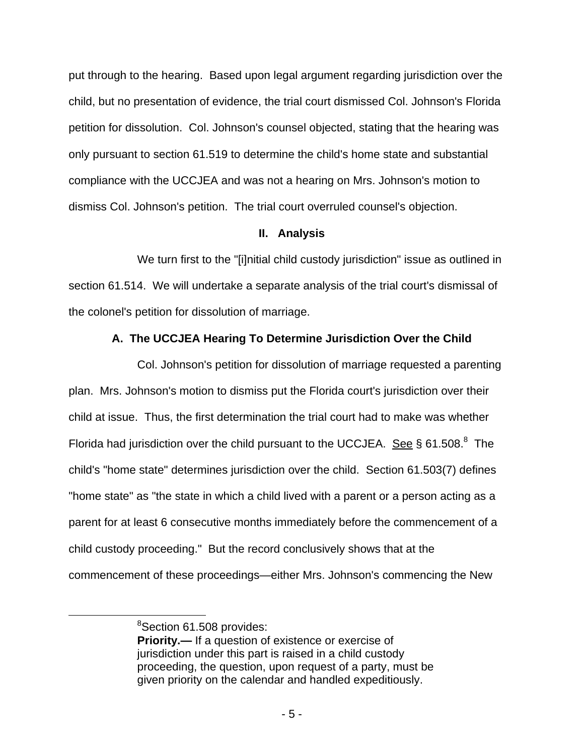put through to the hearing. Based upon legal argument regarding jurisdiction over the child, but no presentation of evidence, the trial court dismissed Col. Johnson's Florida petition for dissolution. Col. Johnson's counsel objected, stating that the hearing was only pursuant to section 61.519 to determine the child's home state and substantial compliance with the UCCJEA and was not a hearing on Mrs. Johnson's motion to dismiss Col. Johnson's petition. The trial court overruled counsel's objection.

### **II. Analysis**

We turn first to the "[i]nitial child custody jurisdiction" issue as outlined in section 61.514. We will undertake a separate analysis of the trial court's dismissal of the colonel's petition for dissolution of marriage.

# **A. The UCCJEA Hearing To Determine Jurisdiction Over the Child**

 Col. Johnson's petition for dissolution of marriage requested a parenting plan. Mrs. Johnson's motion to dismiss put the Florida court's jurisdiction over their child at issue. Thus, the first determination the trial court had to make was whether Florida had jurisdiction over the child pursuant to the UCCJEA. See § 61.508. <sup>8</sup> The child's "home state" determines jurisdiction over the child. Section 61.503(7) defines "home state" as "the state in which a child lived with a parent or a person acting as a parent for at least 6 consecutive months immediately before the commencement of a child custody proceeding." But the record conclusively shows that at the commencement of these proceedings—either Mrs. Johnson's commencing the New

<sup>8</sup> and 3 and 3 and 3 and 3 and 3 and 3 and 3 and 3 and 3 and 3 and 3 and 3 and 3 and 3 and 3 and 3 and 3 and 3 <br>Single 3 and 3 and 3 and 3 and 3 and 3 and 3 and 3 and 3 and 3 and 3 and 3 and 3 and 3 and 3 and 3 and 3 and 3 Section 61.508 provides:

**Priority.—** If a question of existence or exercise of jurisdiction under this part is raised in a child custody proceeding, the question, upon request of a party, must be given priority on the calendar and handled expeditiously.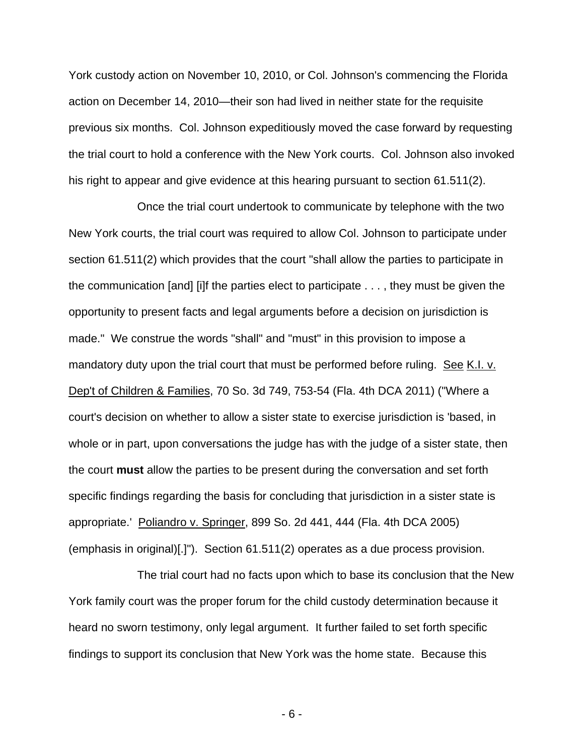York custody action on November 10, 2010, or Col. Johnson's commencing the Florida action on December 14, 2010—their son had lived in neither state for the requisite previous six months. Col. Johnson expeditiously moved the case forward by requesting the trial court to hold a conference with the New York courts. Col. Johnson also invoked his right to appear and give evidence at this hearing pursuant to section 61.511(2).

 Once the trial court undertook to communicate by telephone with the two New York courts, the trial court was required to allow Col. Johnson to participate under section 61.511(2) which provides that the court "shall allow the parties to participate in the communication [and] [i]f the parties elect to participate . . . , they must be given the opportunity to present facts and legal arguments before a decision on jurisdiction is made." We construe the words "shall" and "must" in this provision to impose a mandatory duty upon the trial court that must be performed before ruling. See K.I. v. Dep't of Children & Families, 70 So. 3d 749, 753-54 (Fla. 4th DCA 2011) ("Where a court's decision on whether to allow a sister state to exercise jurisdiction is 'based, in whole or in part, upon conversations the judge has with the judge of a sister state, then the court **must** allow the parties to be present during the conversation and set forth specific findings regarding the basis for concluding that jurisdiction in a sister state is appropriate.' Poliandro v. Springer, 899 So. 2d 441, 444 (Fla. 4th DCA 2005) (emphasis in original)[.]"). Section 61.511(2) operates as a due process provision.

 The trial court had no facts upon which to base its conclusion that the New York family court was the proper forum for the child custody determination because it heard no sworn testimony, only legal argument. It further failed to set forth specific findings to support its conclusion that New York was the home state. Because this

- 6 -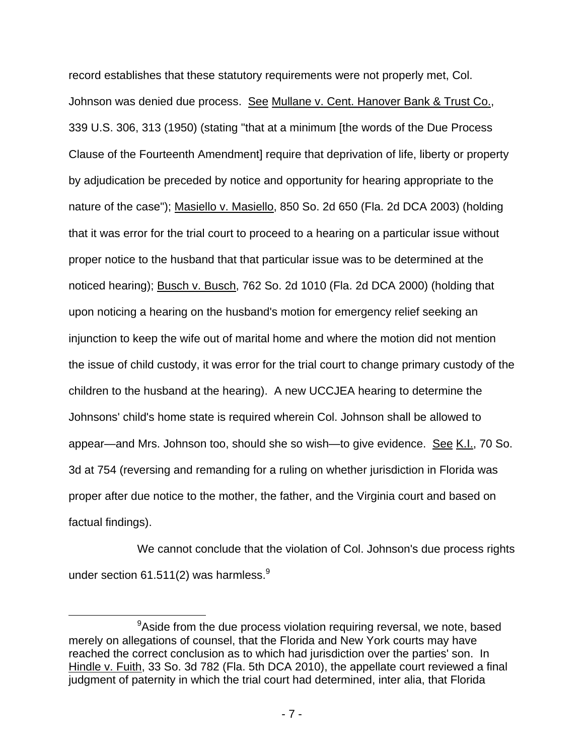record establishes that these statutory requirements were not properly met, Col. Johnson was denied due process. See Mullane v. Cent. Hanover Bank & Trust Co., 339 U.S. 306, 313 (1950) (stating "that at a minimum [the words of the Due Process Clause of the Fourteenth Amendment] require that deprivation of life, liberty or property by adjudication be preceded by notice and opportunity for hearing appropriate to the nature of the case"); Masiello v. Masiello, 850 So. 2d 650 (Fla. 2d DCA 2003) (holding that it was error for the trial court to proceed to a hearing on a particular issue without proper notice to the husband that that particular issue was to be determined at the noticed hearing); Busch v. Busch, 762 So. 2d 1010 (Fla. 2d DCA 2000) (holding that upon noticing a hearing on the husband's motion for emergency relief seeking an injunction to keep the wife out of marital home and where the motion did not mention the issue of child custody, it was error for the trial court to change primary custody of the children to the husband at the hearing). A new UCCJEA hearing to determine the Johnsons' child's home state is required wherein Col. Johnson shall be allowed to appear—and Mrs. Johnson too, should she so wish—to give evidence. See K.I., 70 So. 3d at 754 (reversing and remanding for a ruling on whether jurisdiction in Florida was proper after due notice to the mother, the father, and the Virginia court and based on factual findings).

 We cannot conclude that the violation of Col. Johnson's due process rights under section 61.511(2) was harmless. $9$ 

<sup>9</sup> <sup>9</sup> Aside from the due process violation requiring reversal, we note, based merely on allegations of counsel, that the Florida and New York courts may have reached the correct conclusion as to which had jurisdiction over the parties' son. In Hindle v. Fuith, 33 So. 3d 782 (Fla. 5th DCA 2010), the appellate court reviewed a final judgment of paternity in which the trial court had determined, inter alia, that Florida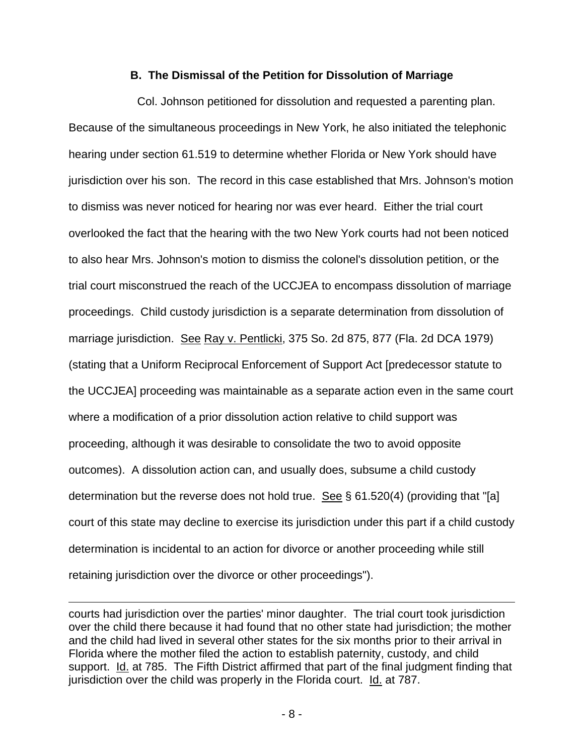#### **B. The Dismissal of the Petition for Dissolution of Marriage**

 Col. Johnson petitioned for dissolution and requested a parenting plan. Because of the simultaneous proceedings in New York, he also initiated the telephonic hearing under section 61.519 to determine whether Florida or New York should have jurisdiction over his son. The record in this case established that Mrs. Johnson's motion to dismiss was never noticed for hearing nor was ever heard. Either the trial court overlooked the fact that the hearing with the two New York courts had not been noticed to also hear Mrs. Johnson's motion to dismiss the colonel's dissolution petition, or the trial court misconstrued the reach of the UCCJEA to encompass dissolution of marriage proceedings. Child custody jurisdiction is a separate determination from dissolution of marriage jurisdiction. See Ray v. Pentlicki, 375 So. 2d 875, 877 (Fla. 2d DCA 1979) (stating that a Uniform Reciprocal Enforcement of Support Act [predecessor statute to the UCCJEA] proceeding was maintainable as a separate action even in the same court where a modification of a prior dissolution action relative to child support was proceeding, although it was desirable to consolidate the two to avoid opposite outcomes). A dissolution action can, and usually does, subsume a child custody determination but the reverse does not hold true. See  $\S$  61.520(4) (providing that "[a] court of this state may decline to exercise its jurisdiction under this part if a child custody determination is incidental to an action for divorce or another proceeding while still retaining jurisdiction over the divorce or other proceedings").

courts had jurisdiction over the parties' minor daughter. The trial court took jurisdiction over the child there because it had found that no other state had jurisdiction; the mother and the child had lived in several other states for the six months prior to their arrival in Florida where the mother filed the action to establish paternity, custody, and child support. Id. at 785. The Fifth District affirmed that part of the final judgment finding that jurisdiction over the child was properly in the Florida court. Id. at 787.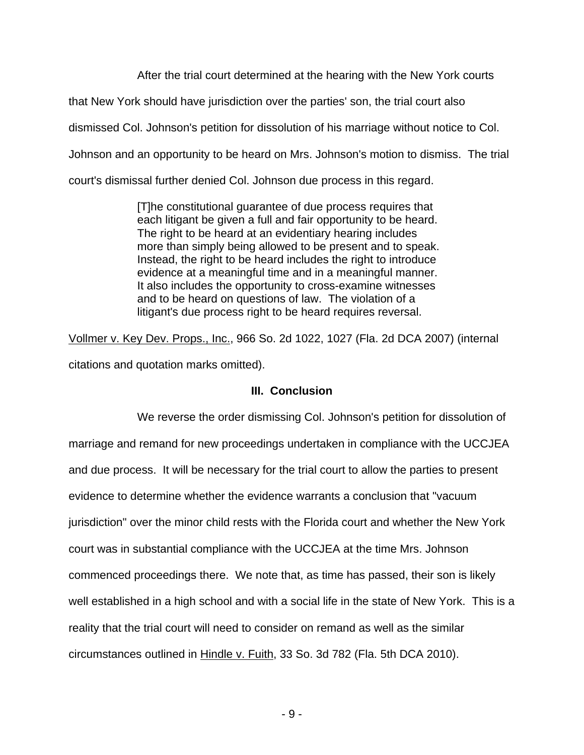After the trial court determined at the hearing with the New York courts

that New York should have jurisdiction over the parties' son, the trial court also

dismissed Col. Johnson's petition for dissolution of his marriage without notice to Col.

Johnson and an opportunity to be heard on Mrs. Johnson's motion to dismiss. The trial

court's dismissal further denied Col. Johnson due process in this regard.

[T]he constitutional guarantee of due process requires that each litigant be given a full and fair opportunity to be heard. The right to be heard at an evidentiary hearing includes more than simply being allowed to be present and to speak. Instead, the right to be heard includes the right to introduce evidence at a meaningful time and in a meaningful manner. It also includes the opportunity to cross-examine witnesses and to be heard on questions of law. The violation of a litigant's due process right to be heard requires reversal.

Vollmer v. Key Dev. Props., Inc., 966 So. 2d 1022, 1027 (Fla. 2d DCA 2007) (internal citations and quotation marks omitted).

# **III. Conclusion**

 We reverse the order dismissing Col. Johnson's petition for dissolution of marriage and remand for new proceedings undertaken in compliance with the UCCJEA and due process. It will be necessary for the trial court to allow the parties to present evidence to determine whether the evidence warrants a conclusion that "vacuum jurisdiction" over the minor child rests with the Florida court and whether the New York court was in substantial compliance with the UCCJEA at the time Mrs. Johnson commenced proceedings there. We note that, as time has passed, their son is likely well established in a high school and with a social life in the state of New York. This is a reality that the trial court will need to consider on remand as well as the similar circumstances outlined in Hindle v. Fuith, 33 So. 3d 782 (Fla. 5th DCA 2010).